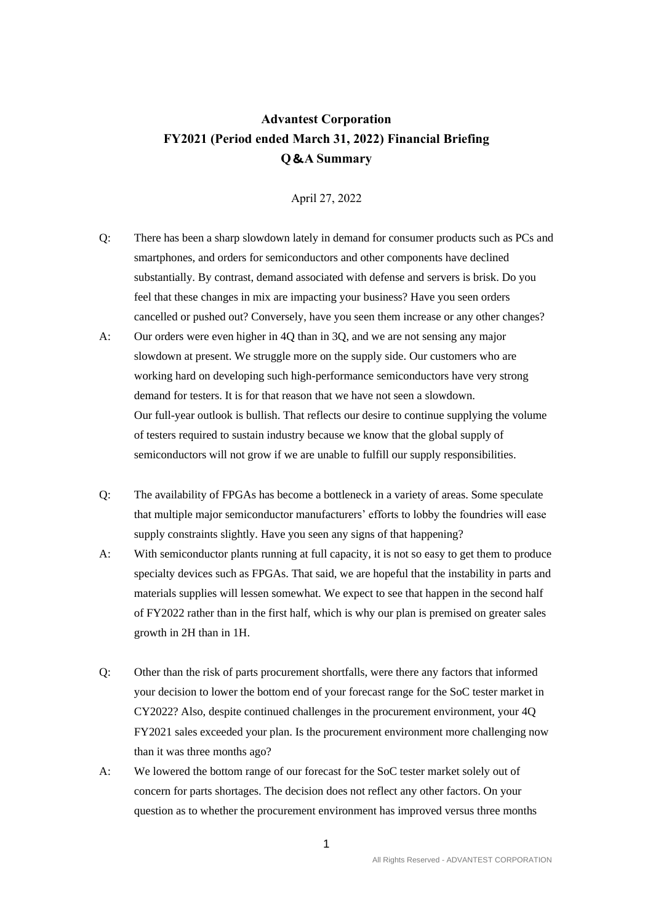## **Advantest Corporation FY2021 (Period ended March 31, 2022) Financial Briefing Q**&**A Summary**

April 27, 2022

- Q: There has been a sharp slowdown lately in demand for consumer products such as PCs and smartphones, and orders for semiconductors and other components have declined substantially. By contrast, demand associated with defense and servers is brisk. Do you feel that these changes in mix are impacting your business? Have you seen orders cancelled or pushed out? Conversely, have you seen them increase or any other changes?
- A: Our orders were even higher in 4Q than in 3Q, and we are not sensing any major slowdown at present. We struggle more on the supply side. Our customers who are working hard on developing such high-performance semiconductors have very strong demand for testers. It is for that reason that we have not seen a slowdown. Our full-year outlook is bullish. That reflects our desire to continue supplying the volume of testers required to sustain industry because we know that the global supply of semiconductors will not grow if we are unable to fulfill our supply responsibilities.
- Q: The availability of FPGAs has become a bottleneck in a variety of areas. Some speculate that multiple major semiconductor manufacturers' efforts to lobby the foundries will ease supply constraints slightly. Have you seen any signs of that happening?
- A: With semiconductor plants running at full capacity, it is not so easy to get them to produce specialty devices such as FPGAs. That said, we are hopeful that the instability in parts and materials supplies will lessen somewhat. We expect to see that happen in the second half of FY2022 rather than in the first half, which is why our plan is premised on greater sales growth in 2H than in 1H.
- Q: Other than the risk of parts procurement shortfalls, were there any factors that informed your decision to lower the bottom end of your forecast range for the SoC tester market in CY2022? Also, despite continued challenges in the procurement environment, your 4Q FY2021 sales exceeded your plan. Is the procurement environment more challenging now than it was three months ago?
- A: We lowered the bottom range of our forecast for the SoC tester market solely out of concern for parts shortages. The decision does not reflect any other factors. On your question as to whether the procurement environment has improved versus three months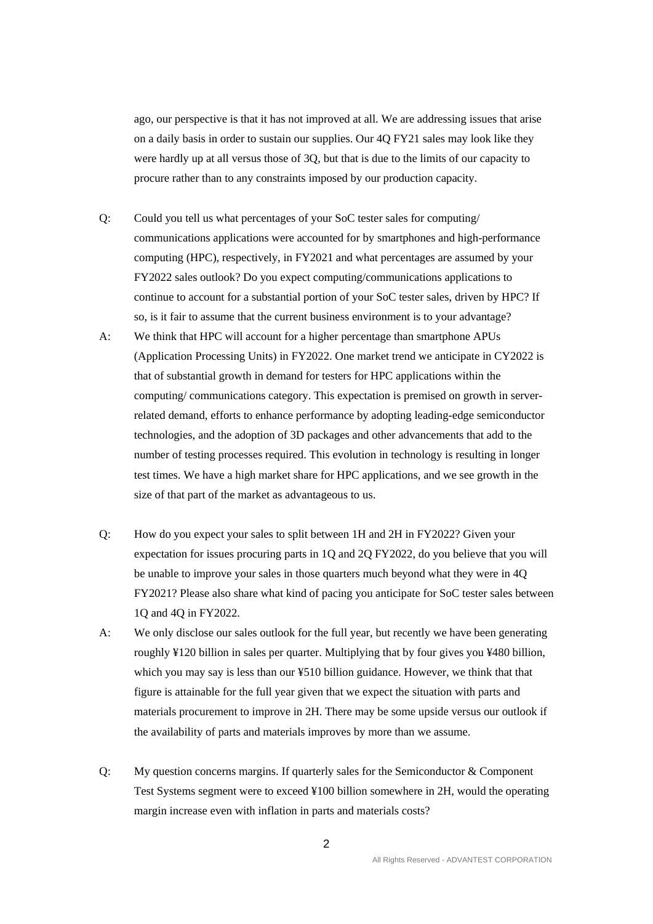ago, our perspective is that it has not improved at all. We are addressing issues that arise on a daily basis in order to sustain our supplies. Our 4Q FY21 sales may look like they were hardly up at all versus those of 3Q, but that is due to the limits of our capacity to procure rather than to any constraints imposed by our production capacity.

- Q: Could you tell us what percentages of your SoC tester sales for computing/ communications applications were accounted for by smartphones and high-performance computing (HPC), respectively, in FY2021 and what percentages are assumed by your FY2022 sales outlook? Do you expect computing/communications applications to continue to account for a substantial portion of your SoC tester sales, driven by HPC? If so, is it fair to assume that the current business environment is to your advantage?
- A: We think that HPC will account for a higher percentage than smartphone APUs (Application Processing Units) in FY2022. One market trend we anticipate in CY2022 is that of substantial growth in demand for testers for HPC applications within the computing/ communications category. This expectation is premised on growth in serverrelated demand, efforts to enhance performance by adopting leading-edge semiconductor technologies, and the adoption of 3D packages and other advancements that add to the number of testing processes required. This evolution in technology is resulting in longer test times. We have a high market share for HPC applications, and we see growth in the size of that part of the market as advantageous to us.
- Q: How do you expect your sales to split between 1H and 2H in FY2022? Given your expectation for issues procuring parts in 1Q and 2Q FY2022, do you believe that you will be unable to improve your sales in those quarters much beyond what they were in 4Q FY2021? Please also share what kind of pacing you anticipate for SoC tester sales between 1Q and 4Q in FY2022.
- A: We only disclose our sales outlook for the full year, but recently we have been generating roughly ¥120 billion in sales per quarter. Multiplying that by four gives you ¥480 billion, which you may say is less than our ¥510 billion guidance. However, we think that that figure is attainable for the full year given that we expect the situation with parts and materials procurement to improve in 2H. There may be some upside versus our outlook if the availability of parts and materials improves by more than we assume.
- Q: My question concerns margins. If quarterly sales for the Semiconductor & Component Test Systems segment were to exceed ¥100 billion somewhere in 2H, would the operating margin increase even with inflation in parts and materials costs?

2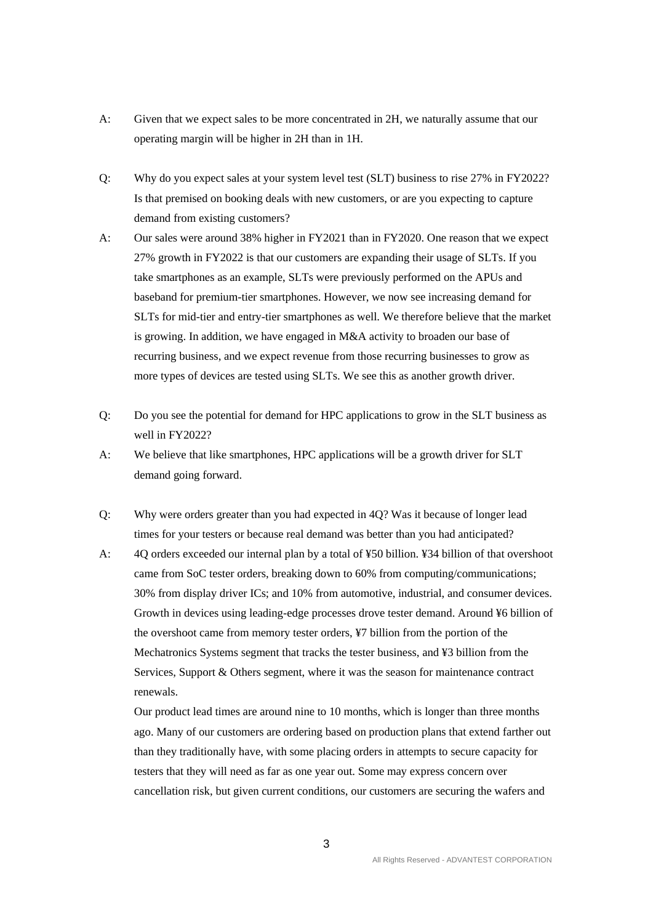- A: Given that we expect sales to be more concentrated in 2H, we naturally assume that our operating margin will be higher in 2H than in 1H.
- Q: Why do you expect sales at your system level test (SLT) business to rise 27% in FY2022? Is that premised on booking deals with new customers, or are you expecting to capture demand from existing customers?
- A: Our sales were around 38% higher in FY2021 than in FY2020. One reason that we expect 27% growth in FY2022 is that our customers are expanding their usage of SLTs. If you take smartphones as an example, SLTs were previously performed on the APUs and baseband for premium-tier smartphones. However, we now see increasing demand for SLTs for mid-tier and entry-tier smartphones as well. We therefore believe that the market is growing. In addition, we have engaged in M&A activity to broaden our base of recurring business, and we expect revenue from those recurring businesses to grow as more types of devices are tested using SLTs. We see this as another growth driver.
- Q: Do you see the potential for demand for HPC applications to grow in the SLT business as well in FY2022?
- A: We believe that like smartphones, HPC applications will be a growth driver for SLT demand going forward.
- Q: Why were orders greater than you had expected in 4Q? Was it because of longer lead times for your testers or because real demand was better than you had anticipated?
- A: 4Q orders exceeded our internal plan by a total of ¥50 billion. ¥34 billion of that overshoot came from SoC tester orders, breaking down to 60% from computing/communications; 30% from display driver ICs; and 10% from automotive, industrial, and consumer devices. Growth in devices using leading-edge processes drove tester demand. Around ¥6 billion of the overshoot came from memory tester orders, ¥7 billion from the portion of the Mechatronics Systems segment that tracks the tester business, and ¥3 billion from the Services, Support & Others segment, where it was the season for maintenance contract renewals.

Our product lead times are around nine to 10 months, which is longer than three months ago. Many of our customers are ordering based on production plans that extend farther out than they traditionally have, with some placing orders in attempts to secure capacity for testers that they will need as far as one year out. Some may express concern over cancellation risk, but given current conditions, our customers are securing the wafers and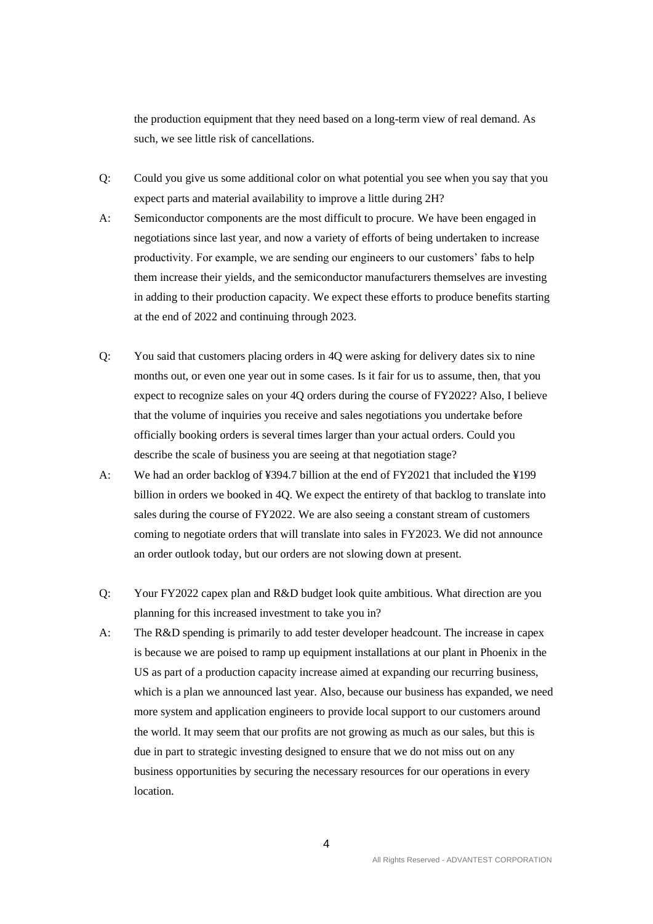the production equipment that they need based on a long-term view of real demand. As such, we see little risk of cancellations.

- Q: Could you give us some additional color on what potential you see when you say that you expect parts and material availability to improve a little during 2H?
- A: Semiconductor components are the most difficult to procure. We have been engaged in negotiations since last year, and now a variety of efforts of being undertaken to increase productivity. For example, we are sending our engineers to our customers' fabs to help them increase their yields, and the semiconductor manufacturers themselves are investing in adding to their production capacity. We expect these efforts to produce benefits starting at the end of 2022 and continuing through 2023.
- Q: You said that customers placing orders in 4Q were asking for delivery dates six to nine months out, or even one year out in some cases. Is it fair for us to assume, then, that you expect to recognize sales on your 4Q orders during the course of FY2022? Also, I believe that the volume of inquiries you receive and sales negotiations you undertake before officially booking orders is several times larger than your actual orders. Could you describe the scale of business you are seeing at that negotiation stage?
- A: We had an order backlog of ¥394.7 billion at the end of FY2021 that included the ¥199 billion in orders we booked in 4Q. We expect the entirety of that backlog to translate into sales during the course of FY2022. We are also seeing a constant stream of customers coming to negotiate orders that will translate into sales in FY2023. We did not announce an order outlook today, but our orders are not slowing down at present.
- Q: Your FY2022 capex plan and R&D budget look quite ambitious. What direction are you planning for this increased investment to take you in?
- A: The R&D spending is primarily to add tester developer headcount. The increase in capex is because we are poised to ramp up equipment installations at our plant in Phoenix in the US as part of a production capacity increase aimed at expanding our recurring business, which is a plan we announced last year. Also, because our business has expanded, we need more system and application engineers to provide local support to our customers around the world. It may seem that our profits are not growing as much as our sales, but this is due in part to strategic investing designed to ensure that we do not miss out on any business opportunities by securing the necessary resources for our operations in every location.